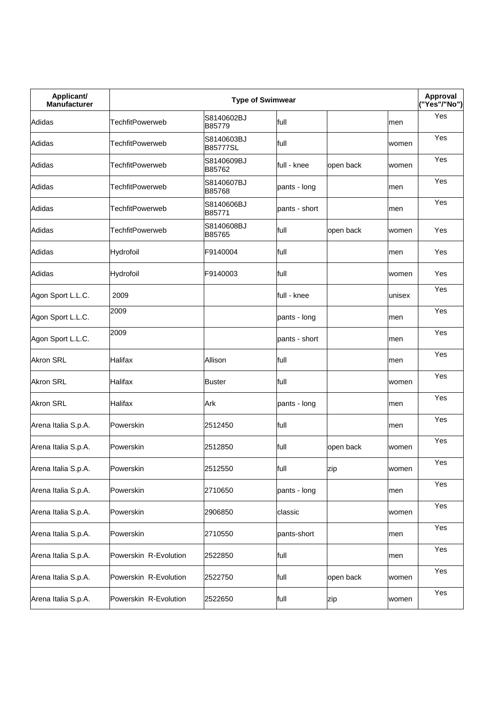| Applicant/<br><b>Manufacturer</b> |                        | <b>Type of Swimwear</b>       |               |           |        | Approval<br>("Yes"/"No") |
|-----------------------------------|------------------------|-------------------------------|---------------|-----------|--------|--------------------------|
| Adidas                            | <b>TechfitPowerweb</b> | S8140602BJ<br>B85779          | full          |           | men    | Yes                      |
| Adidas                            | <b>TechfitPowerweb</b> | S8140603BJ<br><b>B85777SL</b> | full          |           | women  | Yes                      |
| Adidas                            | TechfitPowerweb        | S8140609BJ<br>B85762          | full - knee   | open back | women  | Yes                      |
| Adidas                            | <b>TechfitPowerweb</b> | S8140607BJ<br>B85768          | pants - long  |           | men    | Yes                      |
| Adidas                            | <b>TechfitPowerweb</b> | S8140606BJ<br>B85771          | pants - short |           | men    | Yes                      |
| Adidas                            | <b>TechfitPowerweb</b> | S8140608BJ<br>B85765          | full          | open back | women  | Yes                      |
| Adidas                            | Hydrofoil              | F9140004                      | full          |           | men    | Yes                      |
| Adidas                            | Hydrofoil              | F9140003                      | full          |           | women  | Yes                      |
| Agon Sport L.L.C.                 | 2009                   |                               | full - knee   |           | unisex | Yes                      |
| Agon Sport L.L.C.                 | 2009                   |                               | pants - long  |           | men    | Yes                      |
| Agon Sport L.L.C.                 | 2009                   |                               | pants - short |           | men    | Yes                      |
| <b>Akron SRL</b>                  | Halifax                | Allison                       | full          |           | men    | Yes                      |
| <b>Akron SRL</b>                  | Halifax                | <b>Buster</b>                 | full          |           | women  | Yes                      |
| <b>Akron SRL</b>                  | Halifax                | Ark                           | pants - long  |           | men    | Yes                      |
| Arena Italia S.p.A.               | Powerskin              | 2512450                       | full          |           | men    | Yes                      |
| Arena Italia S.p.A.               | Powerskin              | 2512850                       | full          | open back | women  | Yes                      |
| Arena Italia S.p.A.               | Powerskin              | 2512550                       | full          | zip       | women  | Yes                      |
| Arena Italia S.p.A.               | Powerskin              | 2710650                       | pants - long  |           | men    | Yes                      |
| Arena Italia S.p.A.               | Powerskin              | 2906850                       | classic       |           | women  | Yes                      |
| Arena Italia S.p.A.               | Powerskin              | 2710550                       | pants-short   |           | men    | Yes                      |
| Arena Italia S.p.A.               | Powerskin R-Evolution  | 2522850                       | full          |           | men    | Yes                      |
| Arena Italia S.p.A.               | Powerskin R-Evolution  | 2522750                       | full          | open back | women  | Yes                      |
| Arena Italia S.p.A.               | Powerskin R-Evolution  | 2522650                       | full          | zip       | women  | Yes                      |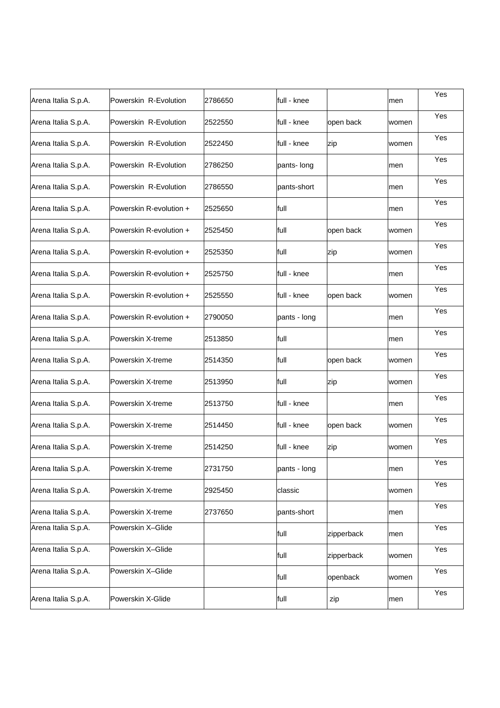| Arena Italia S.p.A. | Powerskin R-Evolution   | 2786650 | full - knee  |            | men   | Yes |
|---------------------|-------------------------|---------|--------------|------------|-------|-----|
| Arena Italia S.p.A. | Powerskin R-Evolution   | 2522550 | full - knee  | open back  | women | Yes |
| Arena Italia S.p.A. | Powerskin R-Evolution   | 2522450 | full - knee  | zip        | women | Yes |
| Arena Italia S.p.A. | Powerskin R-Evolution   | 2786250 | pants- long  |            | men   | Yes |
| Arena Italia S.p.A. | Powerskin R-Evolution   | 2786550 | pants-short  |            | men   | Yes |
| Arena Italia S.p.A. | Powerskin R-evolution + | 2525650 | full         |            | men   | Yes |
| Arena Italia S.p.A. | Powerskin R-evolution + | 2525450 | full         | open back  | women | Yes |
| Arena Italia S.p.A. | Powerskin R-evolution + | 2525350 | full         | zip        | women | Yes |
| Arena Italia S.p.A. | Powerskin R-evolution + | 2525750 | full - knee  |            | men   | Yes |
| Arena Italia S.p.A. | Powerskin R-evolution + | 2525550 | full - knee  | open back  | women | Yes |
| Arena Italia S.p.A. | Powerskin R-evolution + | 2790050 | pants - long |            | men   | Yes |
| Arena Italia S.p.A. | Powerskin X-treme       | 2513850 | full         |            | men   | Yes |
| Arena Italia S.p.A. | Powerskin X-treme       | 2514350 | full         | open back  | women | Yes |
| Arena Italia S.p.A. | Powerskin X-treme       | 2513950 | full         | zip        | women | Yes |
| Arena Italia S.p.A. | Powerskin X-treme       | 2513750 | full - knee  |            | men   | Yes |
| Arena Italia S.p.A. | Powerskin X-treme       | 2514450 | full - knee  | open back  | women | Yes |
| Arena Italia S.p.A. | Powerskin X-treme       | 2514250 | full - knee  | zip        | women | Yes |
| Arena Italia S.p.A. | Powerskin X-treme       | 2731750 | pants - long |            | men   | Yes |
| Arena Italia S.p.A. | Powerskin X-treme       | 2925450 | classic      |            | women | Yes |
| Arena Italia S.p.A. | Powerskin X-treme       | 2737650 | pants-short  |            | men   | Yes |
| Arena Italia S.p.A. | Powerskin X-Glide       |         | full         | zipperback | men   | Yes |
| Arena Italia S.p.A. | Powerskin X-Glide       |         | full         | zipperback | women | Yes |
| Arena Italia S.p.A. | Powerskin X-Glide       |         | full         | openback   | women | Yes |
| Arena Italia S.p.A. | Powerskin X-Glide       |         | full         | zip        | men   | Yes |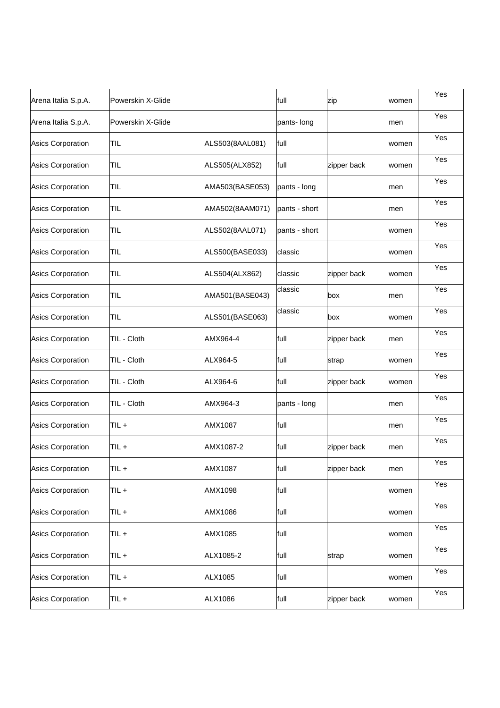| Arena Italia S.p.A.      | Powerskin X-Glide |                 | full          | zip         | women | Yes |
|--------------------------|-------------------|-----------------|---------------|-------------|-------|-----|
| Arena Italia S.p.A.      | Powerskin X-Glide |                 | pants- long   |             | men   | Yes |
| Asics Corporation        | TIL               | ALS503(8AAL081) | full          |             | women | Yes |
| Asics Corporation        | TIL               | ALS505(ALX852)  | full          | zipper back | women | Yes |
| Asics Corporation        | TIL.              | AMA503(BASE053) | pants - long  |             | men   | Yes |
| Asics Corporation        | TIL.              | AMA502(8AAM071) | pants - short |             | men   | Yes |
| Asics Corporation        | TIL.              | ALS502(8AAL071) | pants - short |             | women | Yes |
| Asics Corporation        | TIL               | ALS500(BASE033) | classic       |             | women | Yes |
| Asics Corporation        | TIL               | ALS504(ALX862)  | classic       | zipper back | women | Yes |
| Asics Corporation        | TIL.              | AMA501(BASE043) | classic       | box         | men   | Yes |
| Asics Corporation        | TIL               | ALS501(BASE063) | classic       | box         | women | Yes |
| Asics Corporation        | TIL - Cloth       | AMX964-4        | full          | zipper back | men   | Yes |
| Asics Corporation        | TIL - Cloth       | ALX964-5        | full          | strap       | women | Yes |
| Asics Corporation        | TIL - Cloth       | ALX964-6        | full          | zipper back | women | Yes |
| Asics Corporation        | TIL - Cloth       | AMX964-3        | pants - long  |             | men   | Yes |
| Asics Corporation        | TIL +             | AMX1087         | full          |             | men   | Yes |
| <b>Asics Corporation</b> | TIL+              | AMX1087-2       | full          | zipper back | men   | Yes |
| <b>Asics Corporation</b> | TIL +             | AMX1087         | full          | zipper back | men   | Yes |
| Asics Corporation        | TIL+              | AMX1098         | full          |             | women | Yes |
| Asics Corporation        | TIL+              | AMX1086         | full          |             | women | Yes |
| Asics Corporation        | TIL+              | AMX1085         | full          |             | women | Yes |
| Asics Corporation        | $TIL +$           | ALX1085-2       | full          | strap       | women | Yes |
| Asics Corporation        | TIL+              | <b>ALX1085</b>  | full          |             | women | Yes |
| Asics Corporation        | TIL+              | ALX1086         | full          | zipper back | women | Yes |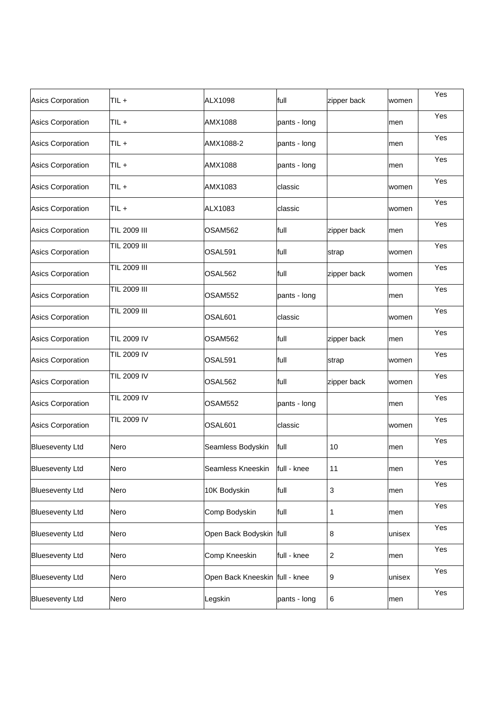| Asics Corporation        | TIL+                | <b>ALX1098</b>                 | full         | zipper back      | women  | Yes |
|--------------------------|---------------------|--------------------------------|--------------|------------------|--------|-----|
| Asics Corporation        | TIL+                | AMX1088                        | pants - long |                  | men    | Yes |
| Asics Corporation        | TIL+                | AMX1088-2                      | pants - long |                  | men    | Yes |
| Asics Corporation        | TIL+                | AMX1088                        | pants - long |                  | men    | Yes |
| Asics Corporation        | TIL+                | AMX1083                        | classic      |                  | women  | Yes |
| Asics Corporation        | TIL+                | ALX1083                        | classic      |                  | women  | Yes |
| Asics Corporation        | <b>TIL 2009 III</b> | OSAM562                        | full         | zipper back      | men    | Yes |
| Asics Corporation        | TIL 2009 III        | OSAL591                        | full         | strap            | women  | Yes |
| Asics Corporation        | TIL 2009 III        | OSAL562                        | full         | zipper back      | women  | Yes |
| Asics Corporation        | TIL 2009 III        | OSAM552                        | pants - long |                  | men    | Yes |
| Asics Corporation        | <b>TIL 2009 III</b> | OSAL <sub>601</sub>            | classic      |                  | women  | Yes |
| Asics Corporation        | <b>TIL 2009 IV</b>  | OSAM562                        | full         | zipper back      | men    | Yes |
| Asics Corporation        | <b>TIL 2009 IV</b>  | OSAL591                        | full         | strap            | women  | Yes |
| <b>Asics Corporation</b> | <b>TIL 2009 IV</b>  | OSAL562                        | full         | zipper back      | women  | Yes |
| Asics Corporation        | <b>TIL 2009 IV</b>  | <b>OSAM552</b>                 | pants - long |                  | men    | Yes |
| Asics Corporation        | <b>TIL 2009 IV</b>  | OSAL601                        | classic      |                  | women  | Yes |
| <b>Blueseventy Ltd</b>   | Nero                | Seamless Bodyskin              | full         | 10               | men    | Yes |
| <b>Blueseventy Ltd</b>   | Nero                | Seamless Kneeskin              | full - knee  | 11               | men    | Yes |
| <b>Blueseventy Ltd</b>   | Nero                | 10K Bodyskin                   | full         | $\mathfrak{S}$   | men    | Yes |
| <b>Blueseventy Ltd</b>   | Nero                | Comp Bodyskin                  | full         | $\mathbf{1}$     | men    | Yes |
| <b>Blueseventy Ltd</b>   | Nero                | Open Back Bodyskin full        |              | $\,8\,$          | unisex | Yes |
| <b>Blueseventy Ltd</b>   | Nero                | Comp Kneeskin                  | full - knee  | $\sqrt{2}$       | men    | Yes |
| <b>Blueseventy Ltd</b>   | Nero                | Open Back Kneeskin full - knee |              | $\boldsymbol{9}$ | unisex | Yes |
| <b>Blueseventy Ltd</b>   | Nero                | Legskin                        | pants - long | 6                | men    | Yes |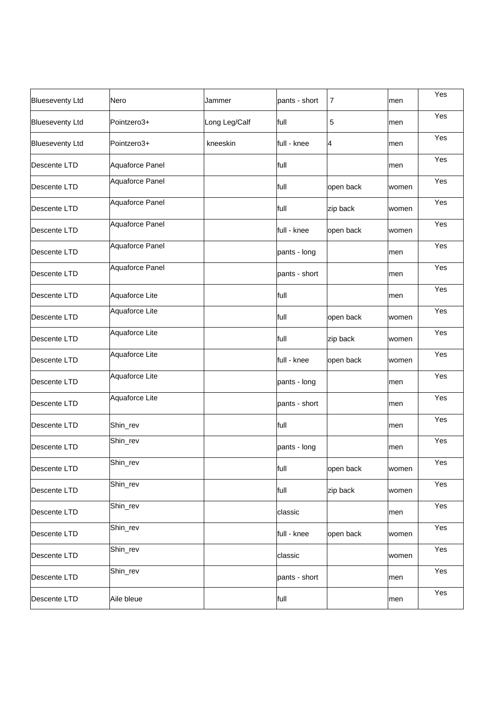| <b>Blueseventy Ltd</b> | Nero            | Jammer        | pants - short | 7              | men   | Yes |
|------------------------|-----------------|---------------|---------------|----------------|-------|-----|
| <b>Blueseventy Ltd</b> | Pointzero3+     | Long Leg/Calf | full          | 5              | men   | Yes |
| <b>Blueseventy Ltd</b> | Pointzero3+     | kneeskin      | full - knee   | $\overline{A}$ | men   | Yes |
| Descente LTD           | Aquaforce Panel |               | full          |                | men   | Yes |
| Descente LTD           | Aquaforce Panel |               | full          | open back      | women | Yes |
| Descente LTD           | Aquaforce Panel |               | full          | zip back       | women | Yes |
| Descente LTD           | Aquaforce Panel |               | full - knee   | open back      | women | Yes |
| Descente LTD           | Aquaforce Panel |               | pants - long  |                | men   | Yes |
| Descente LTD           | Aquaforce Panel |               | pants - short |                | men   | Yes |
| Descente LTD           | Aquaforce Lite  |               | full          |                | men   | Yes |
| Descente LTD           | Aquaforce Lite  |               | full          | open back      | women | Yes |
| Descente LTD           | Aquaforce Lite  |               | full          | zip back       | women | Yes |
| Descente LTD           | Aquaforce Lite  |               | full - knee   | open back      | women | Yes |
| Descente LTD           | Aquaforce Lite  |               | pants - long  |                | men   | Yes |
| Descente LTD           | Aquaforce Lite  |               | pants - short |                | men   | Yes |
| Descente LTD           | Shin_rev        |               | full          |                | men   | Yes |
| Descente LTD           | Shin_rev        |               | pants - long  |                | men   | Yes |
| Descente LTD           | Shin_rev        |               | full          | open back      | women | Yes |
| Descente LTD           | Shin_rev        |               | full          | zip back       | women | Yes |
| Descente LTD           | Shin_rev        |               | classic       |                | men   | Yes |
| Descente LTD           | Shin_rev        |               | full - knee   | open back      | women | Yes |
| Descente LTD           | Shin_rev        |               | classic       |                | women | Yes |
| Descente LTD           | Shin_rev        |               | pants - short |                | men   | Yes |
| Descente LTD           | Aile bleue      |               | full          |                | men   | Yes |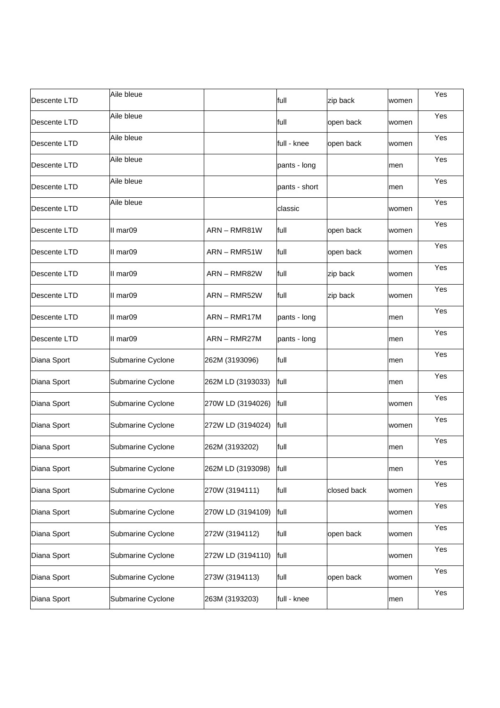| Descente LTD | Aile bleue        |                   | full          | zip back    | women | Yes |
|--------------|-------------------|-------------------|---------------|-------------|-------|-----|
| Descente LTD | Aile bleue        |                   | full          | open back   | women | Yes |
| Descente LTD | Aile bleue        |                   | full - knee   | open back   | women | Yes |
| Descente LTD | Aile bleue        |                   | pants - long  |             | men   | Yes |
| Descente LTD | Aile bleue        |                   | pants - short |             | men   | Yes |
| Descente LTD | Aile bleue        |                   | classic       |             | women | Yes |
| Descente LTD | II mar09          | ARN-RMR81W        | full          | open back   | women | Yes |
| Descente LTD | II mar09          | ARN - RMR51W      | full          | open back   | women | Yes |
| Descente LTD | II mar09          | ARN - RMR82W      | full          | zip back    | women | Yes |
| Descente LTD | II mar09          | ARN - RMR52W      | full          | zip back    | women | Yes |
| Descente LTD | II mar09          | ARN-RMR17M        | pants - long  |             | men   | Yes |
| Descente LTD | II mar09          | ARN - RMR27M      | pants - long  |             | men   | Yes |
| Diana Sport  | Submarine Cyclone | 262M (3193096)    | full          |             | men   | Yes |
| Diana Sport  | Submarine Cyclone | 262M LD (3193033) | full          |             | men   | Yes |
| Diana Sport  | Submarine Cyclone | 270W LD (3194026) | full          |             | women | Yes |
| Diana Sport  | Submarine Cyclone | 272W LD (3194024) | full          |             | women | Yes |
| Diana Sport  | Submarine Cyclone | 262M (3193202)    | full          |             | men   | Yes |
| Diana Sport  | Submarine Cyclone | 262M LD (3193098) | full          |             | men   | Yes |
| Diana Sport  | Submarine Cyclone | 270W (3194111)    | full          | closed back | women | Yes |
| Diana Sport  | Submarine Cyclone | 270W LD (3194109) | full          |             | women | Yes |
| Diana Sport  | Submarine Cyclone | 272W (3194112)    | full          | open back   | women | Yes |
| Diana Sport  | Submarine Cyclone | 272W LD (3194110) | full          |             | women | Yes |
| Diana Sport  | Submarine Cyclone | 273W (3194113)    | full          | open back   | women | Yes |
| Diana Sport  | Submarine Cyclone | 263M (3193203)    | full - knee   |             | men   | Yes |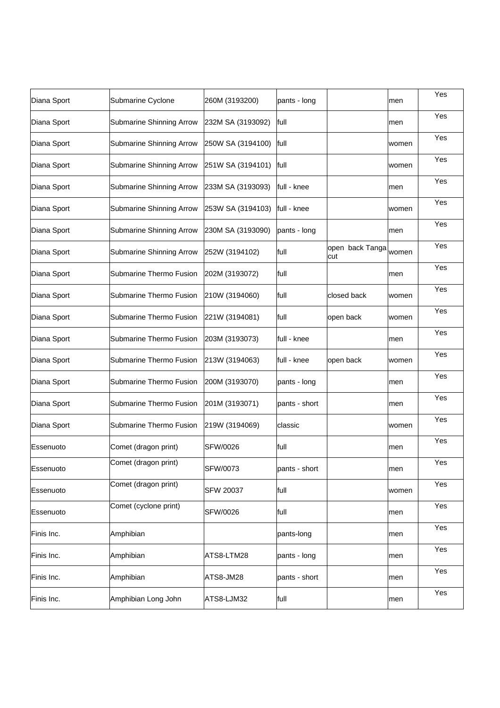| Diana Sport | Submarine Cyclone               | 260M (3193200)    | pants - long  |                        | men   | Yes |
|-------------|---------------------------------|-------------------|---------------|------------------------|-------|-----|
| Diana Sport | Submarine Shinning Arrow        | 232M SA (3193092) | full          |                        | men   | Yes |
| Diana Sport | Submarine Shinning Arrow        | 250W SA (3194100) | full          |                        | women | Yes |
| Diana Sport | <b>Submarine Shinning Arrow</b> | 251W SA (3194101) | lfull         |                        | women | Yes |
| Diana Sport | Submarine Shinning Arrow        | 233M SA (3193093) | full - knee   |                        | men   | Yes |
| Diana Sport | <b>Submarine Shinning Arrow</b> | 253W SA (3194103) | full - knee   |                        | women | Yes |
| Diana Sport | Submarine Shinning Arrow        | 230M SA (3193090) | pants - long  |                        | men   | Yes |
| Diana Sport | Submarine Shinning Arrow        | 252W (3194102)    | full          | open back Tanga<br>cut | women | Yes |
| Diana Sport | Submarine Thermo Fusion         | 202M (3193072)    | full          |                        | men   | Yes |
| Diana Sport | Submarine Thermo Fusion         | 210W (3194060)    | full          | closed back            | women | Yes |
| Diana Sport | Submarine Thermo Fusion         | 221W (3194081)    | full          | open back              | women | Yes |
| Diana Sport | Submarine Thermo Fusion         | 203M (3193073)    | full - knee   |                        | men   | Yes |
| Diana Sport | Submarine Thermo Fusion         | 213W (3194063)    | full - knee   | open back              | women | Yes |
| Diana Sport | Submarine Thermo Fusion         | 200M (3193070)    | pants - long  |                        | men   | Yes |
| Diana Sport | Submarine Thermo Fusion         | 201M (3193071)    | pants - short |                        | men   | Yes |
| Diana Sport | Submarine Thermo Fusion         | 219W (3194069)    | classic       |                        | women | Yes |
| Essenuoto   | Comet (dragon print)            | SFW/0026          | full          |                        | men   | Yes |
| Essenuoto   | Comet (dragon print)            | SFW/0073          | pants - short |                        | men   | Yes |
| Essenuoto   | Comet (dragon print)            | <b>SFW 20037</b>  | full          |                        | women | Yes |
| Essenuoto   | Comet (cyclone print)           | SFW/0026          | full          |                        | men   | Yes |
| Finis Inc.  | Amphibian                       |                   | pants-long    |                        | men   | Yes |
| Finis Inc.  | Amphibian                       | ATS8-LTM28        | pants - long  |                        | men   | Yes |
| Finis Inc.  | Amphibian                       | ATS8-JM28         | pants - short |                        | men   | Yes |
| Finis Inc.  | Amphibian Long John             | ATS8-LJM32        | full          |                        | men   | Yes |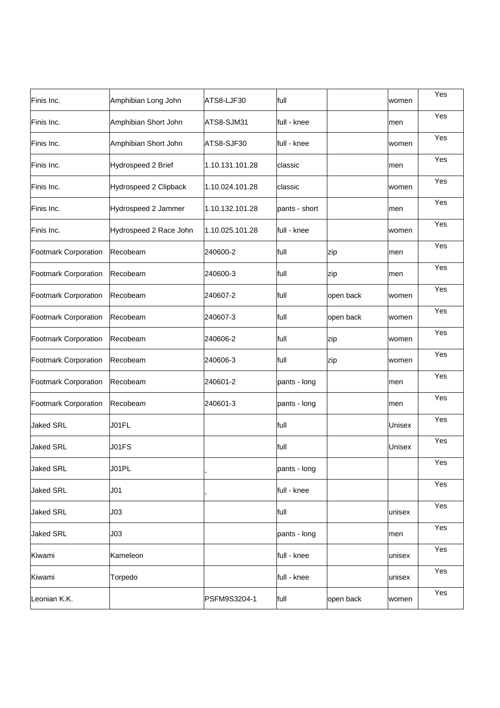| Finis Inc.                  | Amphibian Long John    | ATS8-LJF30      | full          |           | women  | Yes |
|-----------------------------|------------------------|-----------------|---------------|-----------|--------|-----|
| Finis Inc.                  | Amphibian Short John   | ATS8-SJM31      | full - knee   |           | men    | Yes |
| Finis Inc.                  | Amphibian Short John   | ATS8-SJF30      | full - knee   |           | women  | Yes |
| Finis Inc.                  | Hydrospeed 2 Brief     | 1.10.131.101.28 | classic       |           | men    | Yes |
| Finis Inc.                  | Hydrospeed 2 Clipback  | 1.10.024.101.28 | classic       |           | women  | Yes |
| Finis Inc.                  | Hydrospeed 2 Jammer    | 1.10.132.101.28 | pants - short |           | men    | Yes |
| Finis Inc.                  | Hydrospeed 2 Race John | 1.10.025.101.28 | full - knee   |           | women  | Yes |
| Footmark Corporation        | Recobeam               | 240600-2        | full          | zip       | men    | Yes |
| Footmark Corporation        | Recobeam               | 240600-3        | full          | zip       | men    | Yes |
| Footmark Corporation        | Recobeam               | 240607-2        | full          | open back | women  | Yes |
| <b>Footmark Corporation</b> | Recobeam               | 240607-3        | full          | open back | women  | Yes |
| Footmark Corporation        | Recobeam               | 240606-2        | full          | zip       | women  | Yes |
| <b>Footmark Corporation</b> | Recobeam               | 240606-3        | full          | zip       | women  | Yes |
| <b>Footmark Corporation</b> | Recobeam               | 240601-2        | pants - long  |           | men    | Yes |
| <b>Footmark Corporation</b> | Recobeam               | 240601-3        | pants - long  |           | men    | Yes |
| <b>Jaked SRL</b>            | J01FL                  |                 | full          |           | Unisex | Yes |
| <b>Jaked SRL</b>            | J01FS                  |                 | full          |           | Unisex | Yes |
| <b>Jaked SRL</b>            | J01PL                  |                 | pants - long  |           |        | Yes |
| <b>Jaked SRL</b>            | J <sub>01</sub>        |                 | full - knee   |           |        | Yes |
| <b>Jaked SRL</b>            | J03                    |                 | full          |           | unisex | Yes |
| <b>Jaked SRL</b>            | J03                    |                 | pants - long  |           | men    | Yes |
| Kiwami                      | Kameleon               |                 | full - knee   |           | unisex | Yes |
| Kiwami                      | Torpedo                |                 | full - knee   |           | unisex | Yes |
| Leonian K.K.                |                        | PSFM9S3204-1    | full          | open back | women  | Yes |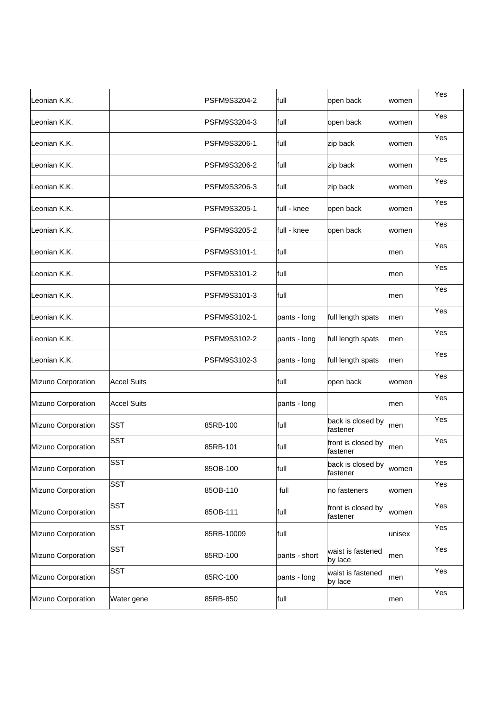| Leonian K.K.       |                    | PSFM9S3204-2 | full          | open back                      | women  | Yes |
|--------------------|--------------------|--------------|---------------|--------------------------------|--------|-----|
| Leonian K.K.       |                    | PSFM9S3204-3 | full          | open back                      | women  | Yes |
| Leonian K.K.       |                    | PSFM9S3206-1 | full          | zip back                       | women  | Yes |
| Leonian K.K.       |                    | PSFM9S3206-2 | full          | zip back                       | women  | Yes |
| Leonian K.K.       |                    | PSFM9S3206-3 | full          | zip back                       | women  | Yes |
| Leonian K.K.       |                    | PSFM9S3205-1 | full - knee   | open back                      | women  | Yes |
| Leonian K.K.       |                    | PSFM9S3205-2 | full - knee   | open back                      | women  | Yes |
| Leonian K.K.       |                    | PSFM9S3101-1 | full          |                                | men    | Yes |
| Leonian K.K.       |                    | PSFM9S3101-2 | full          |                                | men    | Yes |
| Leonian K.K.       |                    | PSFM9S3101-3 | full          |                                | men    | Yes |
| Leonian K.K.       |                    | PSFM9S3102-1 | pants - long  | full length spats              | men    | Yes |
| Leonian K.K.       |                    | PSFM9S3102-2 | pants - long  | full length spats              | men    | Yes |
| Leonian K.K.       |                    | PSFM9S3102-3 | pants - long  | full length spats              | men    | Yes |
| Mizuno Corporation | <b>Accel Suits</b> |              | full          | open back                      | women  | Yes |
| Mizuno Corporation | <b>Accel Suits</b> |              | pants - long  |                                | men    | Yes |
| Mizuno Corporation | <b>SST</b>         | 85RB-100     | full          | back is closed by<br>fastener  | men    | Yes |
| Mizuno Corporation | <b>SST</b>         | 85RB-101     | full          | front is closed by<br>fastener | men    | Yes |
| Mizuno Corporation | <b>SST</b>         | 85OB-100     | full          | back is closed by<br>fastener  | women  | Yes |
| Mizuno Corporation | <b>SST</b>         | 85OB-110     | full          | no fasteners                   | women  | Yes |
| Mizuno Corporation | <b>SST</b>         | 85OB-111     | full          | front is closed by<br>fastener | women  | Yes |
| Mizuno Corporation | <b>SST</b>         | 85RB-10009   | full          |                                | unisex | Yes |
| Mizuno Corporation | <b>SST</b>         | 85RD-100     | pants - short | waist is fastened<br>by lace   | men    | Yes |
| Mizuno Corporation | <b>SST</b>         | 85RC-100     | pants - long  | waist is fastened<br>by lace   | men    | Yes |
| Mizuno Corporation | Water gene         | 85RB-850     | full          |                                | men    | Yes |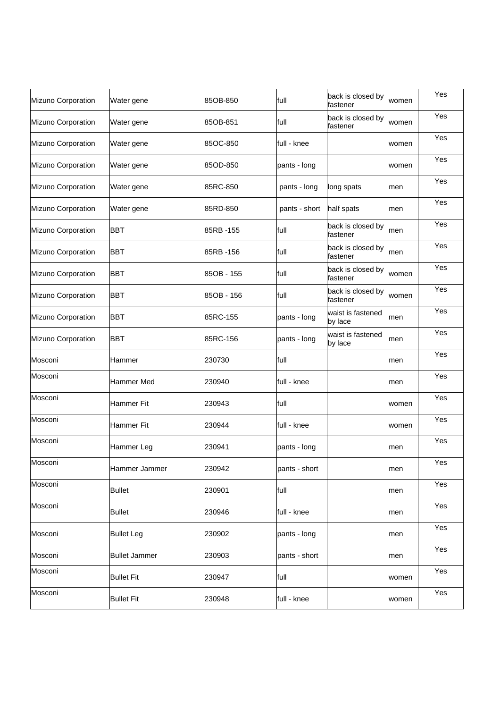| Mizuno Corporation | Water gene           | 85OB-850    | full          | back is closed by<br>fastener | women | Yes |
|--------------------|----------------------|-------------|---------------|-------------------------------|-------|-----|
| Mizuno Corporation | Water gene           | 85OB-851    | full          | back is closed by<br>fastener | women | Yes |
| Mizuno Corporation | Water gene           | 85OC-850    | full - knee   |                               | women | Yes |
| Mizuno Corporation | Water gene           | 85OD-850    | pants - long  |                               | women | Yes |
| Mizuno Corporation | Water gene           | 85RC-850    | pants - long  | long spats                    | men   | Yes |
| Mizuno Corporation | Water gene           | 85RD-850    | pants - short | half spats                    | men   | Yes |
| Mizuno Corporation | <b>BBT</b>           | 85RB-155    | full          | back is closed by<br>fastener | men   | Yes |
| Mizuno Corporation | <b>BBT</b>           | l85RB -156  | full          | back is closed by<br>fastener | men   | Yes |
| Mizuno Corporation | <b>BBT</b>           | 85OB - 155  | full          | back is closed by<br>fastener | women | Yes |
| Mizuno Corporation | <b>BBT</b>           | l85OB - 156 | full          | back is closed by<br>fastener | women | Yes |
| Mizuno Corporation | <b>BBT</b>           | 85RC-155    | pants - long  | waist is fastened<br>by lace  | men   | Yes |
| Mizuno Corporation | <b>BBT</b>           | 85RC-156    | pants - long  | waist is fastened<br>by lace  | men   | Yes |
| Mosconi            | Hammer               | 230730      | full          |                               | men   | Yes |
| Mosconi            | <b>Hammer Med</b>    | 230940      | full - knee   |                               | men   | Yes |
| Mosconi            | Hammer Fit           | 230943      | full          |                               | women | Yes |
| Mosconi            | <b>Hammer Fit</b>    | 230944      | full - knee   |                               | women | Yes |
| Mosconi            | Hammer Leg           | 230941      | pants - long  |                               | men   | Yes |
| Mosconi            | Hammer Jammer        | 230942      | pants - short |                               | men   | Yes |
| Mosconi            | <b>Bullet</b>        | 230901      | full          |                               | men   | Yes |
| Mosconi            | <b>Bullet</b>        | 230946      | full - knee   |                               | men   | Yes |
| Mosconi            | <b>Bullet Leg</b>    | 230902      | pants - long  |                               | men   | Yes |
| Mosconi            | <b>Bullet Jammer</b> | 230903      | pants - short |                               | men   | Yes |
| Mosconi            | <b>Bullet Fit</b>    | 230947      | full          |                               | women | Yes |
| Mosconi            | <b>Bullet Fit</b>    | 230948      | full - knee   |                               | women | Yes |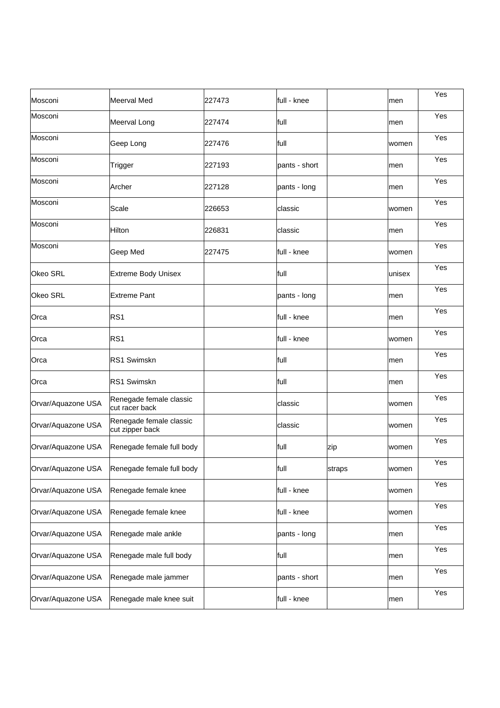| Mosconi            | <b>Meerval Med</b>                         | 227473 | lfull - knee  |        | men    | Yes |
|--------------------|--------------------------------------------|--------|---------------|--------|--------|-----|
| Mosconi            | Meerval Long                               | 227474 | full          |        | men    | Yes |
| Mosconi            | Geep Long                                  | 227476 | full          |        | women  | Yes |
| Mosconi            | Trigger                                    | 227193 | pants - short |        | men    | Yes |
| Mosconi            | Archer                                     | 227128 | pants - long  |        | men    | Yes |
| Mosconi            | Scale                                      | 226653 | classic       |        | women  | Yes |
| Mosconi            | Hilton                                     | 226831 | classic       |        | men    | Yes |
| Mosconi            | Geep Med                                   | 227475 | full - knee   |        | women  | Yes |
| Okeo SRL           | <b>Extreme Body Unisex</b>                 |        | full          |        | unisex | Yes |
| Okeo SRL           | <b>Extreme Pant</b>                        |        | pants - long  |        | men    | Yes |
| Orca               | RS <sub>1</sub>                            |        | full - knee   |        | men    | Yes |
| Orca               | RS <sub>1</sub>                            |        | full - knee   |        | women  | Yes |
| Orca               | RS1 Swimskn                                |        | full          |        | men    | Yes |
| Orca               | RS1 Swimskn                                |        | full          |        | men    | Yes |
| Orvar/Aquazone USA | Renegade female classic<br>cut racer back  |        | classic       |        | women  | Yes |
| Orvar/Aquazone USA | Renegade female classic<br>cut zipper back |        | classic       |        | women  | Yes |
| Orvar/Aquazone USA | Renegade female full body                  |        | full          | zip    | women  | Yes |
| Orvar/Aquazone USA | Renegade female full body                  |        | full          | straps | women  | Yes |
| Orvar/Aquazone USA | Renegade female knee                       |        | full - knee   |        | women  | Yes |
| Orvar/Aquazone USA | Renegade female knee                       |        | full - knee   |        | women  | Yes |
| Orvar/Aquazone USA | Renegade male ankle                        |        | pants - long  |        | men    | Yes |
| Orvar/Aquazone USA | Renegade male full body                    |        | full          |        | men    | Yes |
| Orvar/Aquazone USA | Renegade male jammer                       |        | pants - short |        | men    | Yes |
| Orvar/Aquazone USA | Renegade male knee suit                    |        | full - knee   |        | men    | Yes |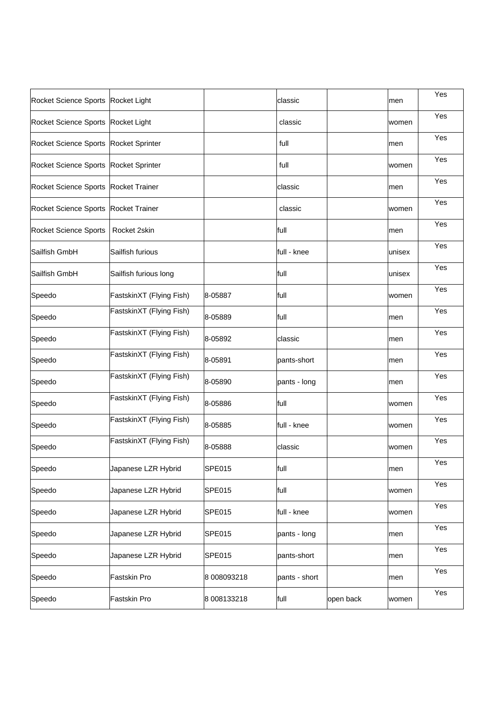| Rocket Science Sports Rocket Light    |                          |               | classic       |           | men    | Yes |
|---------------------------------------|--------------------------|---------------|---------------|-----------|--------|-----|
| Rocket Science Sports Rocket Light    |                          |               | classic       |           | women  | Yes |
| Rocket Science Sports Rocket Sprinter |                          |               | full          |           | men    | Yes |
| Rocket Science Sports Rocket Sprinter |                          |               | full          |           | women  | Yes |
| Rocket Science Sports Rocket Trainer  |                          |               | classic       |           | men    | Yes |
| Rocket Science Sports Rocket Trainer  |                          |               | classic       |           | women  | Yes |
| <b>Rocket Science Sports</b>          | Rocket 2skin             |               | full          |           | men    | Yes |
| Sailfish GmbH                         | Sailfish furious         |               | full - knee   |           | unisex | Yes |
| Sailfish GmbH                         | Sailfish furious long    |               | full          |           | unisex | Yes |
| Speedo                                | FastskinXT (Flying Fish) | 8-05887       | full          |           | women  | Yes |
| Speedo                                | FastskinXT (Flying Fish) | 8-05889       | full          |           | men    | Yes |
| Speedo                                | FastskinXT (Flying Fish) | 8-05892       | classic       |           | men    | Yes |
| Speedo                                | FastskinXT (Flying Fish) | 8-05891       | pants-short   |           | men    | Yes |
| Speedo                                | FastskinXT (Flying Fish) | 8-05890       | pants - long  |           | men    | Yes |
| Speedo                                | FastskinXT (Flying Fish) | 8-05886       | full          |           | women  | Yes |
| Speedo                                | FastskinXT (Flying Fish) | 8-05885       | full - knee   |           | women  | Yes |
| Speedo                                | FastskinXT (Flying Fish) | 8-05888       | classic       |           | women  | Yes |
| Speedo                                | Japanese LZR Hybrid      | SPE015        | full          |           | men    | Yes |
| Speedo                                | Japanese LZR Hybrid      | SPE015        | full          |           | women  | Yes |
| Speedo                                | Japanese LZR Hybrid      | SPE015        | full - knee   |           | women  | Yes |
| Speedo                                | Japanese LZR Hybrid      | <b>SPE015</b> | pants - long  |           | men    | Yes |
| Speedo                                | Japanese LZR Hybrid      | SPE015        | pants-short   |           | men    | Yes |
| Speedo                                | Fastskin Pro             | 8 008093218   | pants - short |           | men    | Yes |
| Speedo                                | Fastskin Pro             | 8 008133218   | full          | open back | women  | Yes |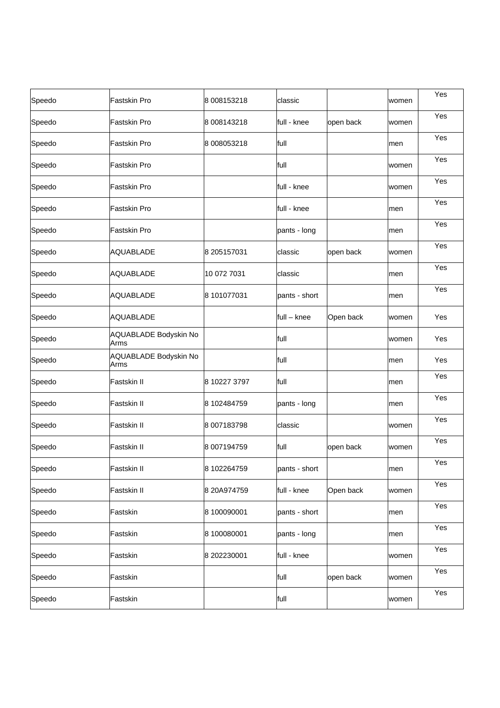| Speedo | <b>Fastskin Pro</b>           | 8 008153218  | classic       |           | women | Yes |
|--------|-------------------------------|--------------|---------------|-----------|-------|-----|
| Speedo | <b>Fastskin Pro</b>           | 8 008143218  | full - knee   | open back | women | Yes |
| Speedo | <b>Fastskin Pro</b>           | 8 008053218  | full          |           | men   | Yes |
| Speedo | <b>Fastskin Pro</b>           |              | full          |           | women | Yes |
| Speedo | <b>Fastskin Pro</b>           |              | full - knee   |           | women | Yes |
| Speedo | <b>Fastskin Pro</b>           |              | full - knee   |           | men   | Yes |
| Speedo | <b>Fastskin Pro</b>           |              | pants - long  |           | men   | Yes |
| Speedo | <b>AQUABLADE</b>              | 8 205157031  | classic       | open back | women | Yes |
| Speedo | <b>AQUABLADE</b>              | 10 072 7031  | classic       |           | men   | Yes |
| Speedo | <b>AQUABLADE</b>              | 8 101077031  | pants - short |           | men   | Yes |
| Speedo | <b>AQUABLADE</b>              |              | full - knee   | Open back | women | Yes |
| Speedo | AQUABLADE Bodyskin No<br>Arms |              | full          |           | women | Yes |
| Speedo | AQUABLADE Bodyskin No<br>Arms |              | full          |           | men   | Yes |
| Speedo | Fastskin II                   | 8 10227 3797 | full          |           | men   | Yes |
| Speedo | Fastskin II                   | 8 102484759  | pants - long  |           | men   | Yes |
| Speedo | Fastskin II                   | 8 007183798  | classic       |           | women | Yes |
| Speedo | Fastskin II                   | 8 007194759  | full          | open back | women | Yes |
| Speedo | <b>Fastskin II</b>            | 8 102264759  | pants - short |           | men   | Yes |
| Speedo | Fastskin II                   | 8 20A974759  | full - knee   | Open back | women | Yes |
| Speedo | Fastskin                      | 8 100090001  | pants - short |           | men   | Yes |
| Speedo | Fastskin                      | 8 100080001  | pants - long  |           | men   | Yes |
| Speedo | Fastskin                      | 8 202230001  | full - knee   |           | women | Yes |
| Speedo | Fastskin                      |              | full          | open back | women | Yes |
| Speedo | Fastskin                      |              | full          |           | women | Yes |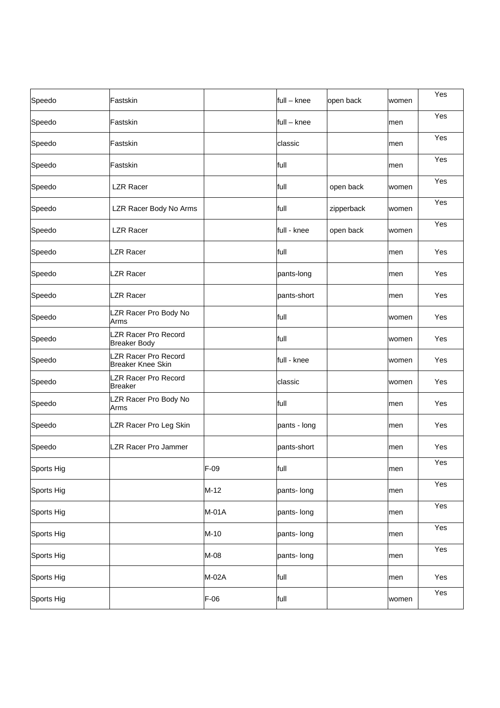| Speedo     | Fastskin                                         |         | full - knee  | open back  | women | Yes |
|------------|--------------------------------------------------|---------|--------------|------------|-------|-----|
| Speedo     | Fastskin                                         |         | full – knee  |            | men   | Yes |
| Speedo     | Fastskin                                         |         | classic      |            | men   | Yes |
| Speedo     | Fastskin                                         |         | full         |            | men   | Yes |
| Speedo     | <b>LZR Racer</b>                                 |         | full         | open back  | women | Yes |
| Speedo     | LZR Racer Body No Arms                           |         | full         | zipperback | women | Yes |
| Speedo     | <b>LZR Racer</b>                                 |         | full - knee  | open back  | women | Yes |
| Speedo     | <b>LZR Racer</b>                                 |         | full         |            | men   | Yes |
| Speedo     | <b>LZR Racer</b>                                 |         | pants-long   |            | men   | Yes |
| Speedo     | <b>LZR Racer</b>                                 |         | pants-short  |            | men   | Yes |
| Speedo     | LZR Racer Pro Body No<br>Arms                    |         | full         |            | women | Yes |
| Speedo     | LZR Racer Pro Record<br><b>Breaker Body</b>      |         | full         |            | women | Yes |
| Speedo     | LZR Racer Pro Record<br><b>Breaker Knee Skin</b> |         | full - knee  |            | women | Yes |
| Speedo     | LZR Racer Pro Record<br><b>Breaker</b>           |         | classic      |            | women | Yes |
| Speedo     | LZR Racer Pro Body No<br>Arms                    |         | full         |            | men   | Yes |
| Speedo     | LZR Racer Pro Leg Skin                           |         | pants - long |            | men   | Yes |
| Speedo     | LZR Racer Pro Jammer                             |         | pants-short  |            | men   | Yes |
| Sports Hig |                                                  | F-09    | full         |            | men   | Yes |
| Sports Hig |                                                  | $M-12$  | pants- long  |            | men   | Yes |
| Sports Hig |                                                  | $M-01A$ | pants- long  |            | men   | Yes |
| Sports Hig |                                                  | $M-10$  | pants- long  |            | men   | Yes |
| Sports Hig |                                                  | M-08    | pants- long  |            | men   | Yes |
| Sports Hig |                                                  | M-02A   | full         |            | men   | Yes |
| Sports Hig |                                                  | $F-06$  | full         |            | women | Yes |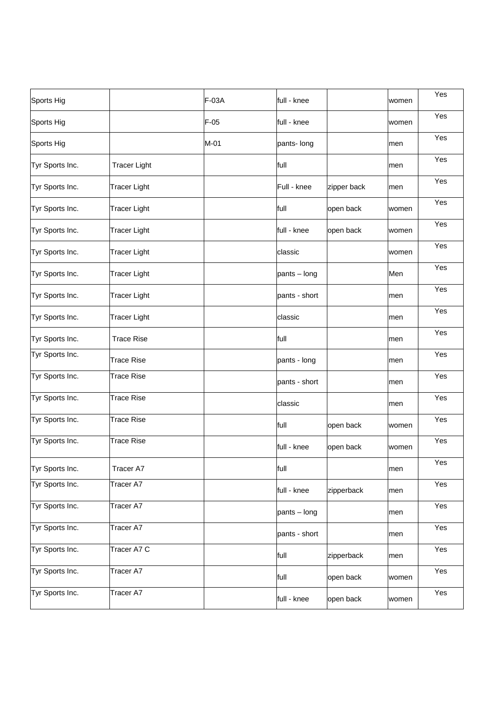| Sports Hig      |                     | F-03A  | full - knee   |             | women | Yes |
|-----------------|---------------------|--------|---------------|-------------|-------|-----|
| Sports Hig      |                     | $F-05$ | full - knee   |             | women | Yes |
| Sports Hig      |                     | $M-01$ | pants- long   |             | men   | Yes |
| Tyr Sports Inc. | <b>Tracer Light</b> |        | full          |             | men   | Yes |
| Tyr Sports Inc. | <b>Tracer Light</b> |        | Full - knee   | zipper back | men   | Yes |
| Tyr Sports Inc. | <b>Tracer Light</b> |        | full          | open back   | women | Yes |
| Tyr Sports Inc. | <b>Tracer Light</b> |        | full - knee   | open back   | women | Yes |
| Tyr Sports Inc. | <b>Tracer Light</b> |        | classic       |             | women | Yes |
| Tyr Sports Inc. | <b>Tracer Light</b> |        | pants - long  |             | Men   | Yes |
| Tyr Sports Inc. | <b>Tracer Light</b> |        | pants - short |             | men   | Yes |
| Tyr Sports Inc. | <b>Tracer Light</b> |        | classic       |             | men   | Yes |
| Tyr Sports Inc. | <b>Trace Rise</b>   |        | full          |             | men   | Yes |
| Tyr Sports Inc. | <b>Trace Rise</b>   |        | pants - long  |             | men   | Yes |
| Tyr Sports Inc. | <b>Trace Rise</b>   |        | pants - short |             | men   | Yes |
| Tyr Sports Inc. | <b>Trace Rise</b>   |        | classic       |             | men   | Yes |
| Tyr Sports Inc. | <b>Trace Rise</b>   |        | full          | open back   | women | Yes |
| Tyr Sports Inc. | <b>Trace Rise</b>   |        | full - knee   | open back   | women | Yes |
| Tyr Sports Inc. | Tracer A7           |        | full          |             | men   | Yes |
| Tyr Sports Inc. | Tracer A7           |        | full - knee   | zipperback  | men   | Yes |
| Tyr Sports Inc. | Tracer A7           |        | pants - long  |             | men   | Yes |
| Tyr Sports Inc. | Tracer A7           |        | pants - short |             | men   | Yes |
| Tyr Sports Inc. | Tracer A7 C         |        | full          | zipperback  | men   | Yes |
| Tyr Sports Inc. | Tracer A7           |        | full          | open back   | women | Yes |
| Tyr Sports Inc. | Tracer A7           |        | full - knee   | open back   | women | Yes |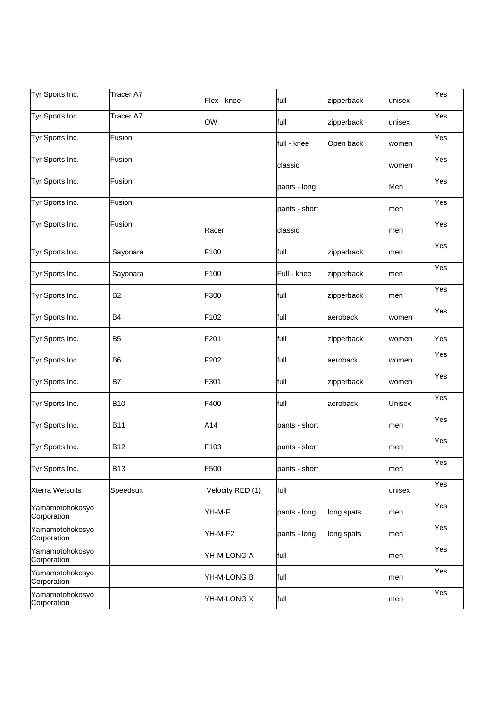| Tyr Sports Inc.                | Tracer A7      | Flex - knee      | full          | zipperback | unisex | Yes |
|--------------------------------|----------------|------------------|---------------|------------|--------|-----|
| Tyr Sports Inc.                | Tracer A7      | OW               | full          | zipperback | unisex | Yes |
| Tyr Sports Inc.                | Fusion         |                  | full - knee   | Open back  | women  | Yes |
| Tyr Sports Inc.                | Fusion         |                  | classic       |            | women  | Yes |
| Tyr Sports Inc.                | Fusion         |                  | pants - long  |            | Men    | Yes |
| Tyr Sports Inc.                | Fusion         |                  | pants - short |            | men    | Yes |
| Tyr Sports Inc.                | Fusion         | Racer            | classic       |            | men    | Yes |
| Tyr Sports Inc.                | Sayonara       | F100             | full          | zipperback | men    | Yes |
| Tyr Sports Inc.                | Sayonara       | F100             | Full - knee   | zipperback | men    | Yes |
| Tyr Sports Inc.                | B <sub>2</sub> | F300             | full          | zipperback | men    | Yes |
| Tyr Sports Inc.                | <b>B4</b>      | F <sub>102</sub> | full          | aeroback   | women  | Yes |
| Tyr Sports Inc.                | B <sub>5</sub> | F201             | full          | zipperback | women  | Yes |
| Tyr Sports Inc.                | B <sub>6</sub> | F202             | full          | aeroback   | women  | Yes |
| Tyr Sports Inc.                | B7             | F301             | full          | zipperback | women  | Yes |
| Tyr Sports Inc.                | <b>B10</b>     | F400             | full          | aeroback   | Unisex | Yes |
| Tyr Sports Inc.                | <b>B11</b>     | A14              | pants - short |            | men    | Yes |
| Tyr Sports Inc.                | <b>B12</b>     | F103             | pants - short |            | men    | Yes |
| Tyr Sports Inc.                | B13            | F500             | pants - short |            | men    | Yes |
| <b>Xterra Wetsuits</b>         | Speedsuit      | Velocity RED (1) | full          |            | unisex | Yes |
| Yamamotohokosyo<br>Corporation |                | YH-M-F           | pants - long  | long spats | men    | Yes |
| Yamamotohokosyo<br>Corporation |                | YH-M-F2          | pants - long  | long spats | men    | Yes |
| Yamamotohokosyo<br>Corporation |                | YH-M-LONG A      | full          |            | men    | Yes |
| Yamamotohokosyo<br>Corporation |                | YH-M-LONG B      | full          |            | men    | Yes |
| Yamamotohokosyo<br>Corporation |                | YH-M-LONG X      | full          |            | men    | Yes |